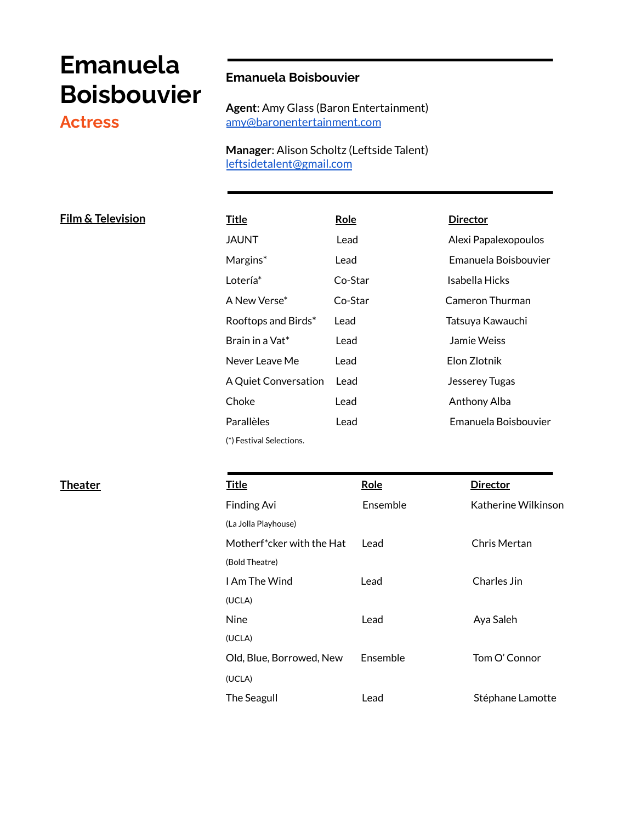# **Emanuela Boisbouvier**

# **Actress**

# **Emanuela Boisbouvier**

**Agent**: Amy Glass (Baron Entertainment) [amy@baronentertainment.com](mailto:amy@baronentertainment.com)

**Manager**: Alison Scholtz (Leftside Talent) [leftsidetalent@gmail.com](mailto:leftsidetalent@gmail.com)

### $Film & \text{Television}$

| <u>Title</u>                | Role    | <b>Director</b>      |
|-----------------------------|---------|----------------------|
| JAUNT                       | Lead    | Alexi Papalexopoulos |
| Margins*                    | Lead    | Emanuela Boisbouvier |
| Lotería*                    | Co-Star | Isabella Hicks       |
| A New Verse*                | Co-Star | Cameron Thurman      |
| Rooftops and Birds*         | Lead    | Tatsuya Kawauchi     |
| Brain in a Vat*             | Lead    | Jamie Weiss          |
| Never Leave Me              | Lead    | Elon Zlotnik         |
| <b>A Quiet Conversation</b> | Lead    | Jesserey Tugas       |
| Choke                       | Lead    | Anthony Alba         |
| Parallèles                  | Lead    | Emanuela Boisbouvier |
| (*) Festival Selections.    |         |                      |

| <b>Theater</b> | <b>Title</b>              | Role     | <b>Director</b>     |
|----------------|---------------------------|----------|---------------------|
|                | Finding Avi               | Ensemble | Katherine Wilkinson |
|                | (La Jolla Playhouse)      |          |                     |
|                | Motherf*cker with the Hat | Lead     | Chris Mertan        |
|                | (Bold Theatre)            |          |                     |
|                | I Am The Wind             | Lead     | Charles Jin         |
|                | (UCLA)                    |          |                     |
|                | <b>Nine</b>               | Lead     | Aya Saleh           |
|                | (UCLA)                    |          |                     |
|                | Old, Blue, Borrowed, New  | Ensemble | Tom O' Connor       |
|                | (UCLA)                    |          |                     |
|                | <b>The Seagull</b>        | Lead     | Stéphane Lamotte    |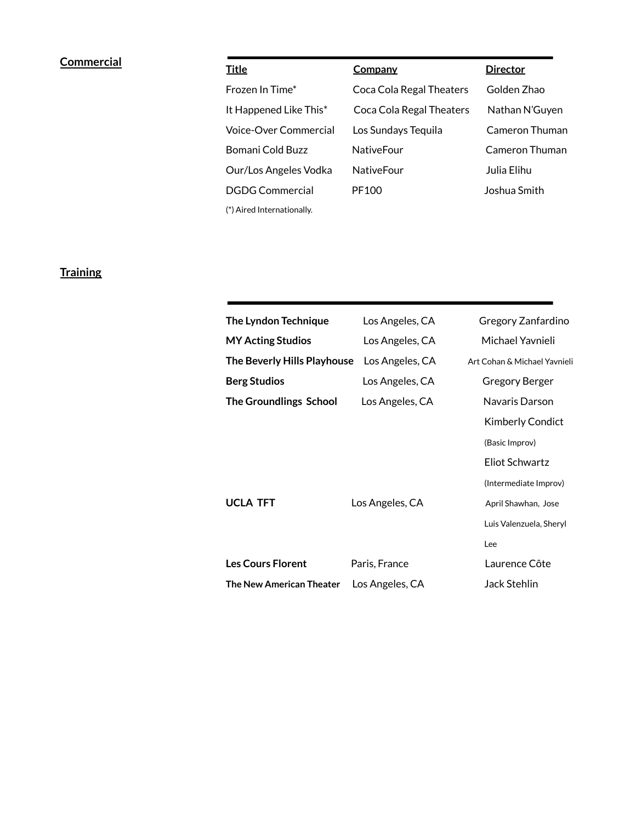# **Commercial**

| <b>Title</b>                 | Company                  | <b>Director</b> |
|------------------------------|--------------------------|-----------------|
| Frozen In Time*              | Coca Cola Regal Theaters | Golden Zhao     |
| It Happened Like This*       | Coca Cola Regal Theaters | Nathan N'Guyen  |
| <b>Voice-Over Commercial</b> | Los Sundays Tequila      | Cameron Thuman  |
| Bomani Cold Buzz             | <b>NativeFour</b>        | Cameron Thuman  |
| Our/Los Angeles Vodka        | NativeFour               | Julia Elihu     |
| <b>DGDG Commercial</b>       | PF100                    | Joshua Smith    |
| (*) Aired Internationally.   |                          |                 |

# **Training**

| The Lyndon Technique          | Los Angeles, CA | Gregory Zanfardino           |
|-------------------------------|-----------------|------------------------------|
| <b>MY Acting Studios</b>      | Los Angeles, CA | Michael Yavnieli             |
| The Beverly Hills Playhouse   | Los Angeles, CA | Art Cohan & Michael Yaynieli |
| <b>Berg Studios</b>           | Los Angeles, CA | Gregory Berger               |
| <b>The Groundlings School</b> | Los Angeles, CA | Navaris Darson               |
|                               |                 | <b>Kimberly Condict</b>      |
|                               |                 | (Basic Improv)               |
|                               |                 | Eliot Schwartz               |
|                               |                 | (Intermediate Improv)        |
| <b>UCLA TFT</b>               | Los Angeles, CA | April Shawhan, Jose          |
|                               |                 | Luis Valenzuela, Sheryl      |
|                               |                 | Lee                          |
| <b>Les Cours Florent</b>      | Paris, France   | Laurence Côte                |
| The New American Theater      | Los Angeles, CA | Jack Stehlin                 |
|                               |                 |                              |